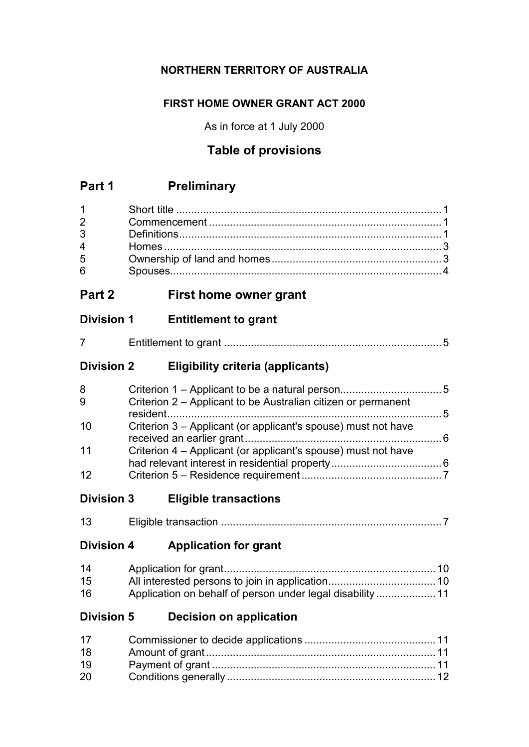## **NORTHERN TERRITORY OF AUSTRALIA**

## **FIRST HOME OWNER GRANT ACT 2000**

As in force at 1 July 2000

# **Table of provisions**

# **Part 1 Preliminary**

| $1 \quad \Box$                 |  |
|--------------------------------|--|
| $2 \left( \frac{1}{2} \right)$ |  |
|                                |  |
| $\overline{4}$                 |  |
| 5                              |  |
| 6                              |  |

# **Part 2 First home owner grant**

## **Division 1 Entitlement to grant**

# **Division 2 Eligibility criteria (applicants)**

| 8   |                                                               |  |
|-----|---------------------------------------------------------------|--|
| 9   | Criterion 2 – Applicant to be Australian citizen or permanent |  |
|     |                                                               |  |
| -10 | Criterion 3 – Applicant (or applicant's spouse) must not have |  |
|     |                                                               |  |
| 11  | Criterion 4 – Applicant (or applicant's spouse) must not have |  |
|     |                                                               |  |
| 12  |                                                               |  |

# **Division 3 Eligible transactions**

|  |  | – <sub>"</sub> uple transaction |  |
|--|--|---------------------------------|--|
|--|--|---------------------------------|--|

# **Division 4 Application for grant**

| 14 |                                                           |
|----|-----------------------------------------------------------|
| 15 |                                                           |
| 16 | Application on behalf of person under legal disability 11 |

# **Division 5 Decision on application**

| 17 |  |
|----|--|
| 18 |  |
| 19 |  |
| 20 |  |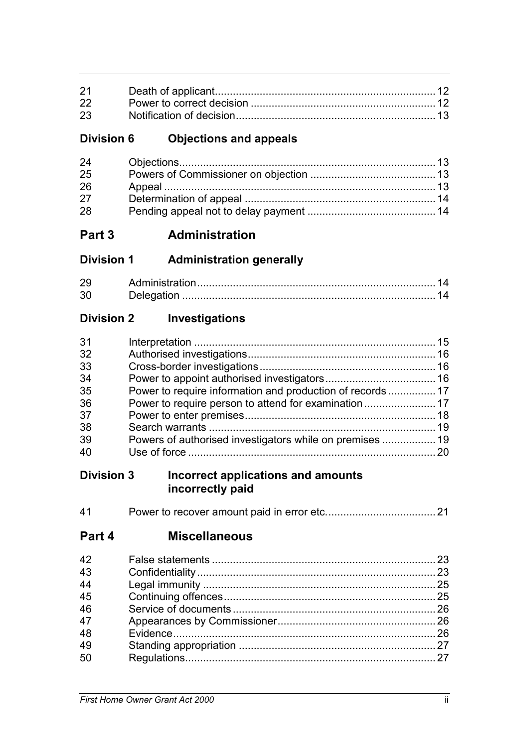| 21 |  |
|----|--|
|    |  |
| 23 |  |

# **Division 6 Objections and appeals**

| 24 |  |
|----|--|
| 25 |  |
| 26 |  |
| 27 |  |
| 28 |  |

# **Part 3 Administration**

**Division 1 Administration generally**

| $\sim$ | Administration |  |
|--------|----------------|--|
| -26    | Delegation     |  |

# **Division 2 Investigations**

| 31 |                                                          |  |
|----|----------------------------------------------------------|--|
| 32 |                                                          |  |
| 33 |                                                          |  |
| 34 |                                                          |  |
| 35 |                                                          |  |
| 36 |                                                          |  |
| 37 |                                                          |  |
| 38 |                                                          |  |
| 39 | Powers of authorised investigators while on premises  19 |  |
| 40 |                                                          |  |
|    |                                                          |  |

## **Division 3 Incorrect applications and amounts incorrectly paid**

| 41 |  |  |  |
|----|--|--|--|
|----|--|--|--|

# **Part 4 Miscellaneous**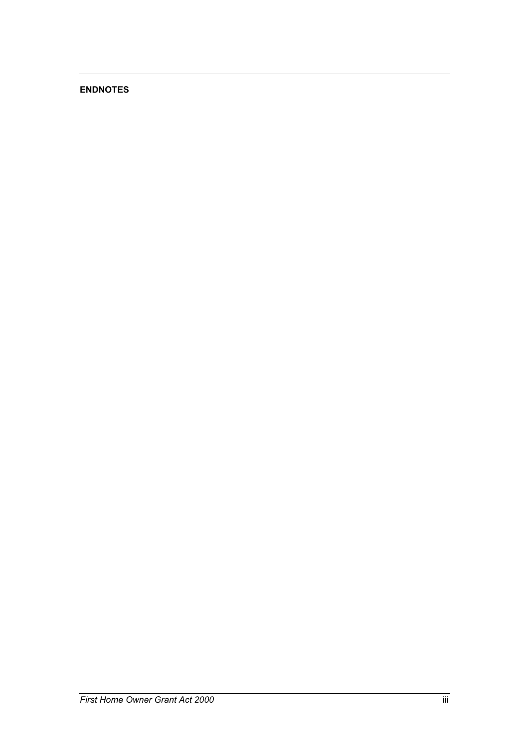## **ENDNOTES**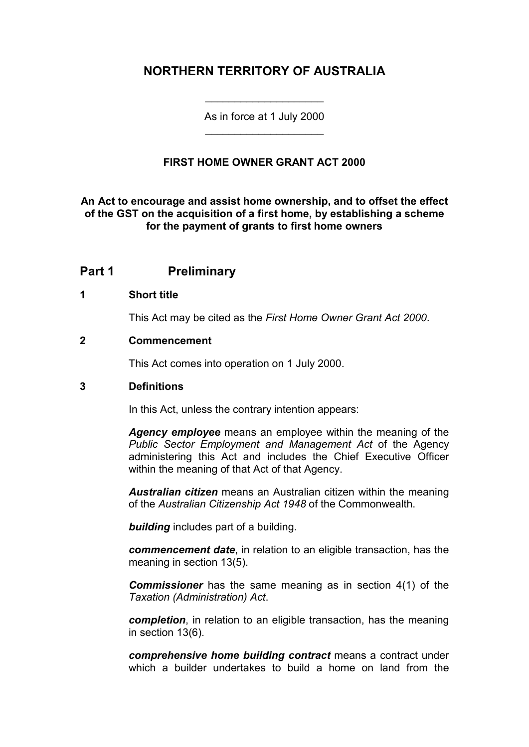# **NORTHERN TERRITORY OF AUSTRALIA**

As in force at 1 July 2000 \_\_\_\_\_\_\_\_\_\_\_\_\_\_\_\_\_\_\_\_

\_\_\_\_\_\_\_\_\_\_\_\_\_\_\_\_\_\_\_\_

## **FIRST HOME OWNER GRANT ACT 2000**

**An Act to encourage and assist home ownership, and to offset the effect of the GST on the acquisition of a first home, by establishing a scheme for the payment of grants to first home owners**

## **Part 1 Preliminary**

## **1 Short title**

This Act may be cited as the *First Home Owner Grant Act 2000*.

#### **2 Commencement**

This Act comes into operation on 1 July 2000.

## **3 Definitions**

In this Act, unless the contrary intention appears:

*Agency employee* means an employee within the meaning of the *Public Sector Employment and Management Act* of the Agency administering this Act and includes the Chief Executive Officer within the meaning of that Act of that Agency.

*Australian citizen* means an Australian citizen within the meaning of the *Australian Citizenship Act 1948* of the Commonwealth.

*building* includes part of a building.

*commencement date*, in relation to an eligible transaction, has the meaning in section 13(5).

**Commissioner** has the same meaning as in section 4(1) of the *Taxation (Administration) Act*.

*completion*, in relation to an eligible transaction, has the meaning in section 13(6).

*comprehensive home building contract* means a contract under which a builder undertakes to build a home on land from the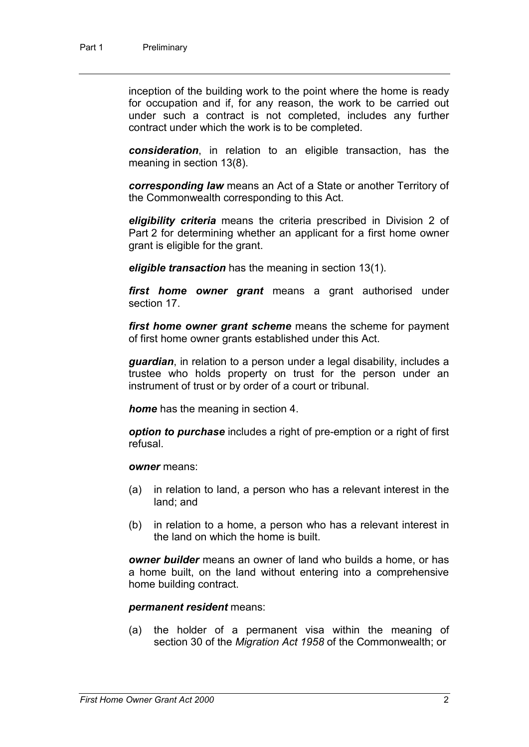inception of the building work to the point where the home is ready for occupation and if, for any reason, the work to be carried out under such a contract is not completed, includes any further contract under which the work is to be completed.

*consideration*, in relation to an eligible transaction, has the meaning in section 13(8).

*corresponding law* means an Act of a State or another Territory of the Commonwealth corresponding to this Act.

*eligibility criteria* means the criteria prescribed in Division 2 of Part 2 for determining whether an applicant for a first home owner grant is eligible for the grant.

*eligible transaction* has the meaning in section 13(1).

*first home owner grant* means a grant authorised under section 17.

*first home owner grant scheme* means the scheme for payment of first home owner grants established under this Act.

*guardian*, in relation to a person under a legal disability, includes a trustee who holds property on trust for the person under an instrument of trust or by order of a court or tribunal.

*home* has the meaning in section 4.

*option to purchase* includes a right of pre-emption or a right of first refusal.

#### *owner* means:

- (a) in relation to land, a person who has a relevant interest in the land; and
- (b) in relation to a home, a person who has a relevant interest in the land on which the home is built.

*owner builder* means an owner of land who builds a home, or has a home built, on the land without entering into a comprehensive home building contract.

#### *permanent resident* means:

(a) the holder of a permanent visa within the meaning of section 30 of the *Migration Act 1958* of the Commonwealth; or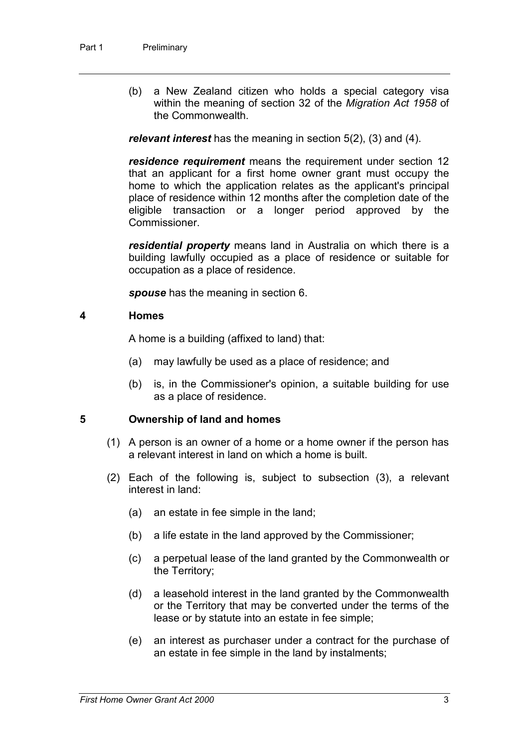(b) a New Zealand citizen who holds a special category visa within the meaning of section 32 of the *Migration Act 1958* of the Commonwealth.

*relevant interest* has the meaning in section 5(2), (3) and (4).

*residence requirement* means the requirement under section 12 that an applicant for a first home owner grant must occupy the home to which the application relates as the applicant's principal place of residence within 12 months after the completion date of the eligible transaction or a longer period approved by the Commissioner.

*residential property* means land in Australia on which there is a building lawfully occupied as a place of residence or suitable for occupation as a place of residence.

*spouse* has the meaning in section 6.

#### **4 Homes**

A home is a building (affixed to land) that:

- (a) may lawfully be used as a place of residence; and
- (b) is, in the Commissioner's opinion, a suitable building for use as a place of residence.

## **5 Ownership of land and homes**

- (1) A person is an owner of a home or a home owner if the person has a relevant interest in land on which a home is built.
- (2) Each of the following is, subject to subsection (3), a relevant interest in land:
	- (a) an estate in fee simple in the land;
	- (b) a life estate in the land approved by the Commissioner;
	- (c) a perpetual lease of the land granted by the Commonwealth or the Territory;
	- (d) a leasehold interest in the land granted by the Commonwealth or the Territory that may be converted under the terms of the lease or by statute into an estate in fee simple;
	- (e) an interest as purchaser under a contract for the purchase of an estate in fee simple in the land by instalments;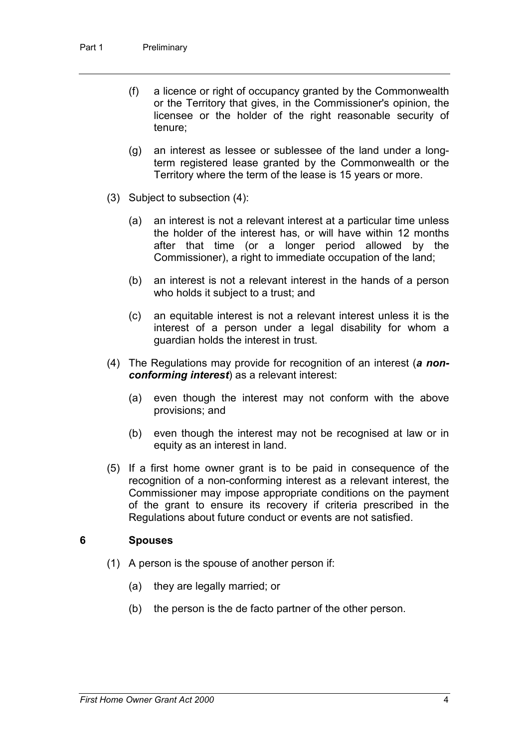- (f) a licence or right of occupancy granted by the Commonwealth or the Territory that gives, in the Commissioner's opinion, the licensee or the holder of the right reasonable security of tenure;
- (g) an interest as lessee or sublessee of the land under a longterm registered lease granted by the Commonwealth or the Territory where the term of the lease is 15 years or more.
- (3) Subject to subsection (4):
	- (a) an interest is not a relevant interest at a particular time unless the holder of the interest has, or will have within 12 months after that time (or a longer period allowed by the Commissioner), a right to immediate occupation of the land;
	- (b) an interest is not a relevant interest in the hands of a person who holds it subject to a trust; and
	- (c) an equitable interest is not a relevant interest unless it is the interest of a person under a legal disability for whom a guardian holds the interest in trust.
- (4) The Regulations may provide for recognition of an interest (*a nonconforming interest*) as a relevant interest:
	- (a) even though the interest may not conform with the above provisions; and
	- (b) even though the interest may not be recognised at law or in equity as an interest in land.
- (5) If a first home owner grant is to be paid in consequence of the recognition of a non-conforming interest as a relevant interest, the Commissioner may impose appropriate conditions on the payment of the grant to ensure its recovery if criteria prescribed in the Regulations about future conduct or events are not satisfied.

#### **6 Spouses**

- (1) A person is the spouse of another person if:
	- (a) they are legally married; or
	- (b) the person is the de facto partner of the other person.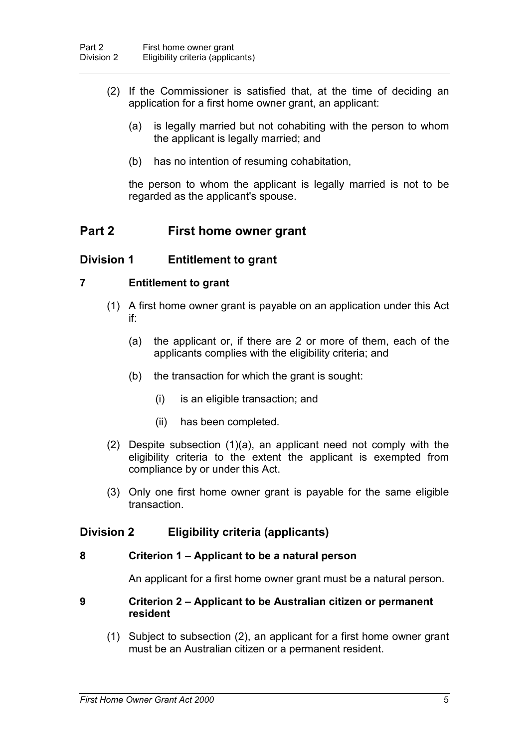- (2) If the Commissioner is satisfied that, at the time of deciding an application for a first home owner grant, an applicant:
	- (a) is legally married but not cohabiting with the person to whom the applicant is legally married; and
	- (b) has no intention of resuming cohabitation,

the person to whom the applicant is legally married is not to be regarded as the applicant's spouse.

## **Part 2 First home owner grant**

## **Division 1 Entitlement to grant**

#### **7 Entitlement to grant**

- (1) A first home owner grant is payable on an application under this Act if:
	- (a) the applicant or, if there are 2 or more of them, each of the applicants complies with the eligibility criteria; and
	- (b) the transaction for which the grant is sought:
		- (i) is an eligible transaction; and
		- (ii) has been completed.
- (2) Despite subsection (1)(a), an applicant need not comply with the eligibility criteria to the extent the applicant is exempted from compliance by or under this Act.
- (3) Only one first home owner grant is payable for the same eligible transaction.

## **Division 2 Eligibility criteria (applicants)**

#### **8 Criterion 1 – Applicant to be a natural person**

An applicant for a first home owner grant must be a natural person.

#### **9 Criterion 2 – Applicant to be Australian citizen or permanent resident**

(1) Subject to subsection (2), an applicant for a first home owner grant must be an Australian citizen or a permanent resident.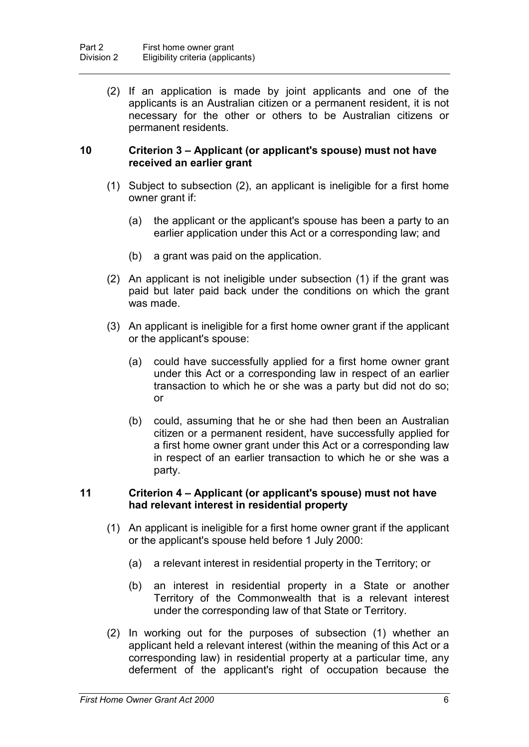(2) If an application is made by joint applicants and one of the applicants is an Australian citizen or a permanent resident, it is not necessary for the other or others to be Australian citizens or permanent residents.

#### **10 Criterion 3 – Applicant (or applicant's spouse) must not have received an earlier grant**

- (1) Subject to subsection (2), an applicant is ineligible for a first home owner grant if:
	- (a) the applicant or the applicant's spouse has been a party to an earlier application under this Act or a corresponding law; and
	- (b) a grant was paid on the application.
- (2) An applicant is not ineligible under subsection (1) if the grant was paid but later paid back under the conditions on which the grant was made.
- (3) An applicant is ineligible for a first home owner grant if the applicant or the applicant's spouse:
	- (a) could have successfully applied for a first home owner grant under this Act or a corresponding law in respect of an earlier transaction to which he or she was a party but did not do so; or
	- (b) could, assuming that he or she had then been an Australian citizen or a permanent resident, have successfully applied for a first home owner grant under this Act or a corresponding law in respect of an earlier transaction to which he or she was a party.

## **11 Criterion 4 – Applicant (or applicant's spouse) must not have had relevant interest in residential property**

- (1) An applicant is ineligible for a first home owner grant if the applicant or the applicant's spouse held before 1 July 2000:
	- (a) a relevant interest in residential property in the Territory; or
	- (b) an interest in residential property in a State or another Territory of the Commonwealth that is a relevant interest under the corresponding law of that State or Territory.
- (2) In working out for the purposes of subsection (1) whether an applicant held a relevant interest (within the meaning of this Act or a corresponding law) in residential property at a particular time, any deferment of the applicant's right of occupation because the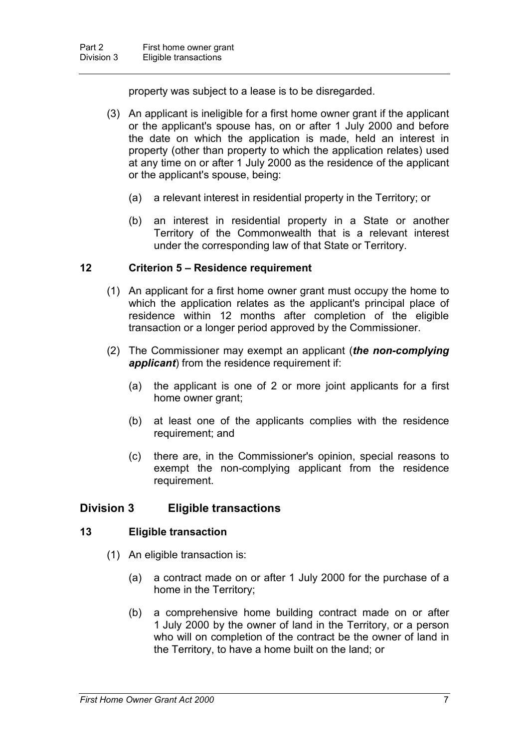property was subject to a lease is to be disregarded.

- (3) An applicant is ineligible for a first home owner grant if the applicant or the applicant's spouse has, on or after 1 July 2000 and before the date on which the application is made, held an interest in property (other than property to which the application relates) used at any time on or after 1 July 2000 as the residence of the applicant or the applicant's spouse, being:
	- (a) a relevant interest in residential property in the Territory; or
	- (b) an interest in residential property in a State or another Territory of the Commonwealth that is a relevant interest under the corresponding law of that State or Territory.

## **12 Criterion 5 – Residence requirement**

- (1) An applicant for a first home owner grant must occupy the home to which the application relates as the applicant's principal place of residence within 12 months after completion of the eligible transaction or a longer period approved by the Commissioner.
- (2) The Commissioner may exempt an applicant (*the non-complying applicant*) from the residence requirement if:
	- (a) the applicant is one of 2 or more joint applicants for a first home owner grant;
	- (b) at least one of the applicants complies with the residence requirement; and
	- (c) there are, in the Commissioner's opinion, special reasons to exempt the non-complying applicant from the residence requirement.

## **Division 3 Eligible transactions**

## **13 Eligible transaction**

- (1) An eligible transaction is:
	- (a) a contract made on or after 1 July 2000 for the purchase of a home in the Territory;
	- (b) a comprehensive home building contract made on or after 1 July 2000 by the owner of land in the Territory, or a person who will on completion of the contract be the owner of land in the Territory, to have a home built on the land; or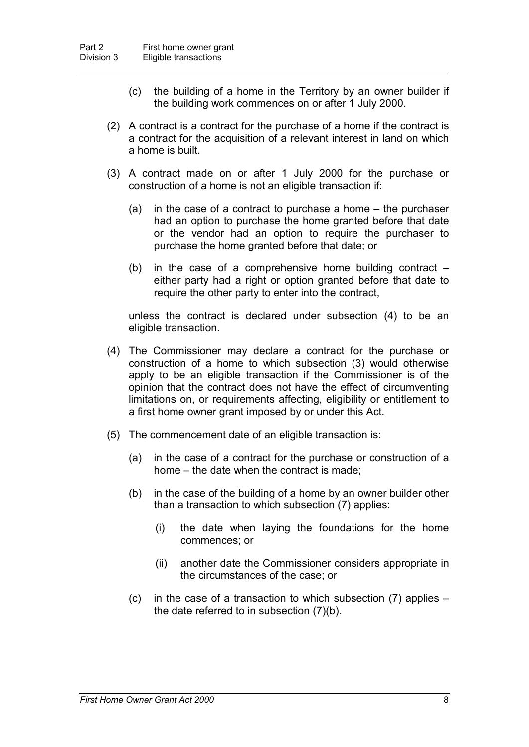- (c) the building of a home in the Territory by an owner builder if the building work commences on or after 1 July 2000.
- (2) A contract is a contract for the purchase of a home if the contract is a contract for the acquisition of a relevant interest in land on which a home is built.
- (3) A contract made on or after 1 July 2000 for the purchase or construction of a home is not an eligible transaction if:
	- (a) in the case of a contract to purchase a home the purchaser had an option to purchase the home granted before that date or the vendor had an option to require the purchaser to purchase the home granted before that date; or
	- (b) in the case of a comprehensive home building contract  $$ either party had a right or option granted before that date to require the other party to enter into the contract,

unless the contract is declared under subsection (4) to be an eligible transaction.

- (4) The Commissioner may declare a contract for the purchase or construction of a home to which subsection (3) would otherwise apply to be an eligible transaction if the Commissioner is of the opinion that the contract does not have the effect of circumventing limitations on, or requirements affecting, eligibility or entitlement to a first home owner grant imposed by or under this Act.
- (5) The commencement date of an eligible transaction is:
	- (a) in the case of a contract for the purchase or construction of a home – the date when the contract is made;
	- (b) in the case of the building of a home by an owner builder other than a transaction to which subsection (7) applies:
		- (i) the date when laying the foundations for the home commences; or
		- (ii) another date the Commissioner considers appropriate in the circumstances of the case; or
	- (c) in the case of a transaction to which subsection (7) applies the date referred to in subsection (7)(b).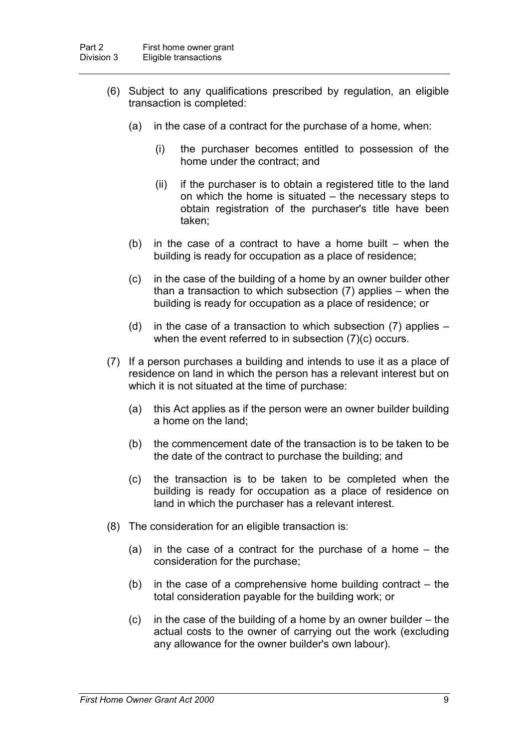- (6) Subject to any qualifications prescribed by regulation, an eligible transaction is completed:
	- (a) in the case of a contract for the purchase of a home, when:
		- (i) the purchaser becomes entitled to possession of the home under the contract; and
		- (ii) if the purchaser is to obtain a registered title to the land on which the home is situated – the necessary steps to obtain registration of the purchaser's title have been taken;
	- (b) in the case of a contract to have a home built  $-$  when the building is ready for occupation as a place of residence;
	- (c) in the case of the building of a home by an owner builder other than a transaction to which subsection (7) applies – when the building is ready for occupation as a place of residence; or
	- (d) in the case of a transaction to which subsection (7) applies when the event referred to in subsection (7)(c) occurs.
- (7) If a person purchases a building and intends to use it as a place of residence on land in which the person has a relevant interest but on which it is not situated at the time of purchase:
	- (a) this Act applies as if the person were an owner builder building a home on the land;
	- (b) the commencement date of the transaction is to be taken to be the date of the contract to purchase the building; and
	- (c) the transaction is to be taken to be completed when the building is ready for occupation as a place of residence on land in which the purchaser has a relevant interest.
- (8) The consideration for an eligible transaction is:
	- (a) in the case of a contract for the purchase of a home the consideration for the purchase;
	- (b) in the case of a comprehensive home building contract  $-$  the total consideration payable for the building work; or
	- (c) in the case of the building of a home by an owner builder the actual costs to the owner of carrying out the work (excluding any allowance for the owner builder's own labour).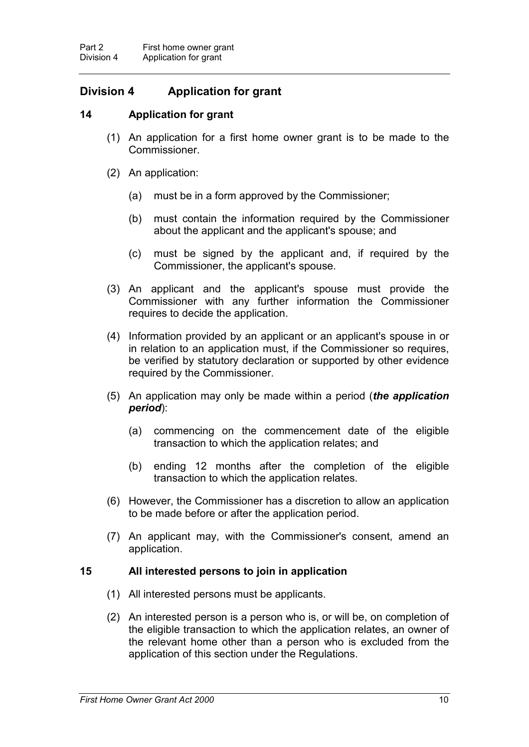# **Division 4 Application for grant**

## **14 Application for grant**

- (1) An application for a first home owner grant is to be made to the Commissioner.
- (2) An application:
	- (a) must be in a form approved by the Commissioner;
	- (b) must contain the information required by the Commissioner about the applicant and the applicant's spouse; and
	- (c) must be signed by the applicant and, if required by the Commissioner, the applicant's spouse.
- (3) An applicant and the applicant's spouse must provide the Commissioner with any further information the Commissioner requires to decide the application.
- (4) Information provided by an applicant or an applicant's spouse in or in relation to an application must, if the Commissioner so requires, be verified by statutory declaration or supported by other evidence required by the Commissioner.
- (5) An application may only be made within a period (*the application period*):
	- (a) commencing on the commencement date of the eligible transaction to which the application relates; and
	- (b) ending 12 months after the completion of the eligible transaction to which the application relates.
- (6) However, the Commissioner has a discretion to allow an application to be made before or after the application period.
- (7) An applicant may, with the Commissioner's consent, amend an application.

## **15 All interested persons to join in application**

- (1) All interested persons must be applicants.
- (2) An interested person is a person who is, or will be, on completion of the eligible transaction to which the application relates, an owner of the relevant home other than a person who is excluded from the application of this section under the Regulations.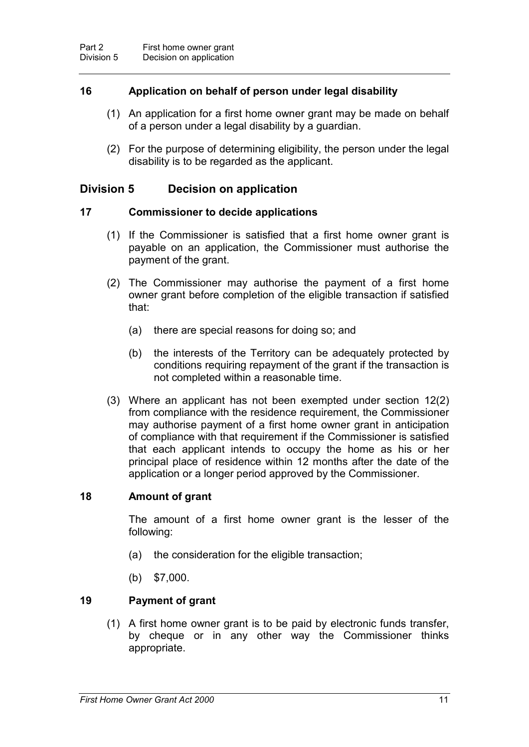## **16 Application on behalf of person under legal disability**

- (1) An application for a first home owner grant may be made on behalf of a person under a legal disability by a guardian.
- (2) For the purpose of determining eligibility, the person under the legal disability is to be regarded as the applicant.

## **Division 5 Decision on application**

#### **17 Commissioner to decide applications**

- (1) If the Commissioner is satisfied that a first home owner grant is payable on an application, the Commissioner must authorise the payment of the grant.
- (2) The Commissioner may authorise the payment of a first home owner grant before completion of the eligible transaction if satisfied that:
	- (a) there are special reasons for doing so; and
	- (b) the interests of the Territory can be adequately protected by conditions requiring repayment of the grant if the transaction is not completed within a reasonable time.
- (3) Where an applicant has not been exempted under section 12(2) from compliance with the residence requirement, the Commissioner may authorise payment of a first home owner grant in anticipation of compliance with that requirement if the Commissioner is satisfied that each applicant intends to occupy the home as his or her principal place of residence within 12 months after the date of the application or a longer period approved by the Commissioner.

## **18 Amount of grant**

The amount of a first home owner grant is the lesser of the following:

- (a) the consideration for the eligible transaction;
- (b) \$7,000.

## **19 Payment of grant**

(1) A first home owner grant is to be paid by electronic funds transfer, by cheque or in any other way the Commissioner thinks appropriate.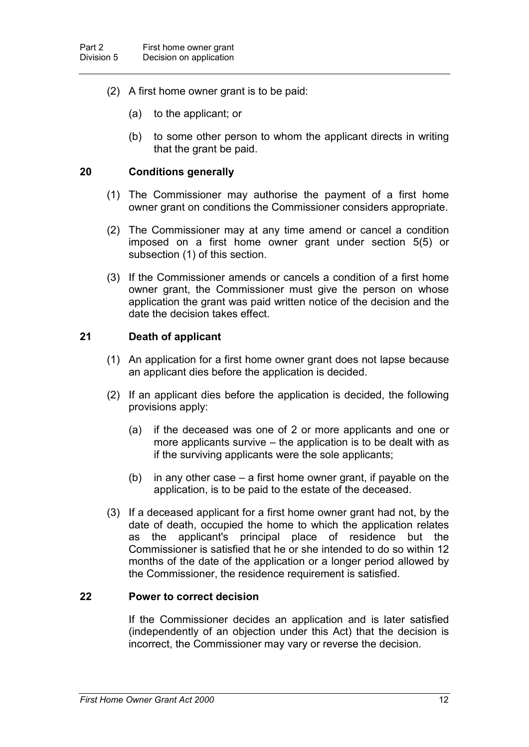- (2) A first home owner grant is to be paid:
	- (a) to the applicant; or
	- (b) to some other person to whom the applicant directs in writing that the grant be paid.

### **20 Conditions generally**

- (1) The Commissioner may authorise the payment of a first home owner grant on conditions the Commissioner considers appropriate.
- (2) The Commissioner may at any time amend or cancel a condition imposed on a first home owner grant under section 5(5) or subsection (1) of this section.
- (3) If the Commissioner amends or cancels a condition of a first home owner grant, the Commissioner must give the person on whose application the grant was paid written notice of the decision and the date the decision takes effect.

#### **21 Death of applicant**

- (1) An application for a first home owner grant does not lapse because an applicant dies before the application is decided.
- (2) If an applicant dies before the application is decided, the following provisions apply:
	- (a) if the deceased was one of 2 or more applicants and one or more applicants survive – the application is to be dealt with as if the surviving applicants were the sole applicants;
	- (b) in any other case a first home owner grant, if payable on the application, is to be paid to the estate of the deceased.
- (3) If a deceased applicant for a first home owner grant had not, by the date of death, occupied the home to which the application relates as the applicant's principal place of residence but the Commissioner is satisfied that he or she intended to do so within 12 months of the date of the application or a longer period allowed by the Commissioner, the residence requirement is satisfied.

#### **22 Power to correct decision**

If the Commissioner decides an application and is later satisfied (independently of an objection under this Act) that the decision is incorrect, the Commissioner may vary or reverse the decision.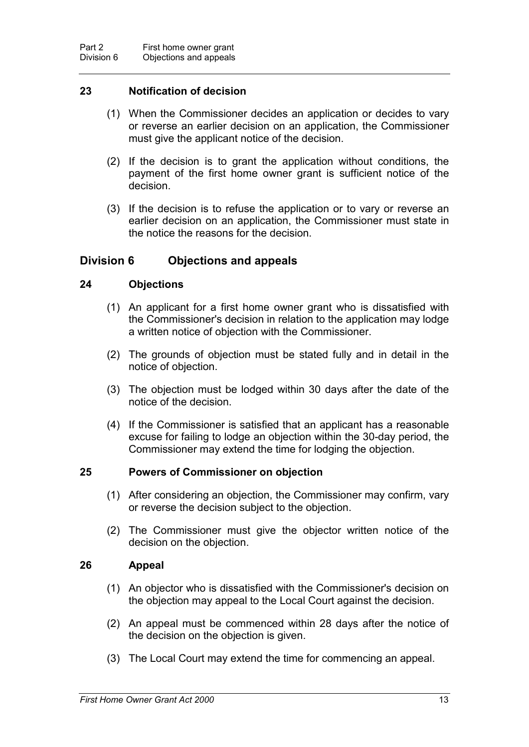## **23 Notification of decision**

- (1) When the Commissioner decides an application or decides to vary or reverse an earlier decision on an application, the Commissioner must give the applicant notice of the decision.
- (2) If the decision is to grant the application without conditions, the payment of the first home owner grant is sufficient notice of the decision.
- (3) If the decision is to refuse the application or to vary or reverse an earlier decision on an application, the Commissioner must state in the notice the reasons for the decision.

## **Division 6 Objections and appeals**

## **24 Objections**

- (1) An applicant for a first home owner grant who is dissatisfied with the Commissioner's decision in relation to the application may lodge a written notice of objection with the Commissioner.
- (2) The grounds of objection must be stated fully and in detail in the notice of objection.
- (3) The objection must be lodged within 30 days after the date of the notice of the decision.
- (4) If the Commissioner is satisfied that an applicant has a reasonable excuse for failing to lodge an objection within the 30-day period, the Commissioner may extend the time for lodging the objection.

## **25 Powers of Commissioner on objection**

- (1) After considering an objection, the Commissioner may confirm, vary or reverse the decision subject to the objection.
- (2) The Commissioner must give the objector written notice of the decision on the objection.

## **26 Appeal**

- (1) An objector who is dissatisfied with the Commissioner's decision on the objection may appeal to the Local Court against the decision.
- (2) An appeal must be commenced within 28 days after the notice of the decision on the objection is given.
- (3) The Local Court may extend the time for commencing an appeal.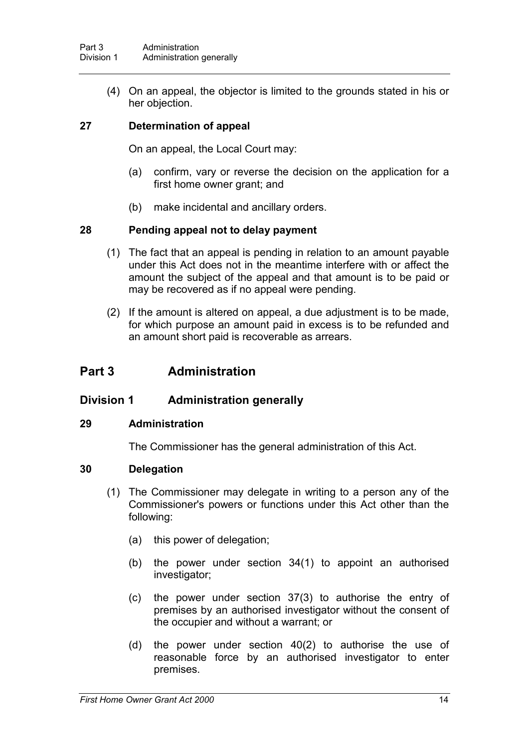(4) On an appeal, the objector is limited to the grounds stated in his or her objection.

## **27 Determination of appeal**

On an appeal, the Local Court may:

- (a) confirm, vary or reverse the decision on the application for a first home owner grant; and
- (b) make incidental and ancillary orders.

## **28 Pending appeal not to delay payment**

- (1) The fact that an appeal is pending in relation to an amount payable under this Act does not in the meantime interfere with or affect the amount the subject of the appeal and that amount is to be paid or may be recovered as if no appeal were pending.
- (2) If the amount is altered on appeal, a due adjustment is to be made, for which purpose an amount paid in excess is to be refunded and an amount short paid is recoverable as arrears.

## **Part 3 Administration**

## **Division 1 Administration generally**

#### **29 Administration**

The Commissioner has the general administration of this Act.

#### **30 Delegation**

- (1) The Commissioner may delegate in writing to a person any of the Commissioner's powers or functions under this Act other than the following:
	- (a) this power of delegation;
	- (b) the power under section 34(1) to appoint an authorised investigator;
	- (c) the power under section 37(3) to authorise the entry of premises by an authorised investigator without the consent of the occupier and without a warrant; or
	- (d) the power under section 40(2) to authorise the use of reasonable force by an authorised investigator to enter premises.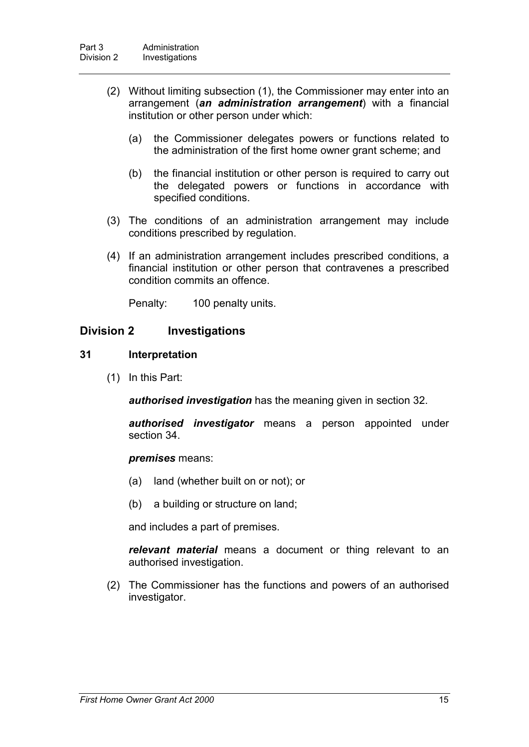- (2) Without limiting subsection (1), the Commissioner may enter into an arrangement (*an administration arrangement*) with a financial institution or other person under which:
	- (a) the Commissioner delegates powers or functions related to the administration of the first home owner grant scheme; and
	- (b) the financial institution or other person is required to carry out the delegated powers or functions in accordance with specified conditions.
- (3) The conditions of an administration arrangement may include conditions prescribed by regulation.
- (4) If an administration arrangement includes prescribed conditions, a financial institution or other person that contravenes a prescribed condition commits an offence.

Penalty: 100 penalty units.

## **Division 2 Investigations**

## **31 Interpretation**

(1) In this Part:

*authorised investigation* has the meaning given in section 32.

*authorised investigator* means a person appointed under section 34.

#### *premises* means:

- (a) land (whether built on or not); or
- (b) a building or structure on land;

and includes a part of premises.

*relevant material* means a document or thing relevant to an authorised investigation.

(2) The Commissioner has the functions and powers of an authorised investigator.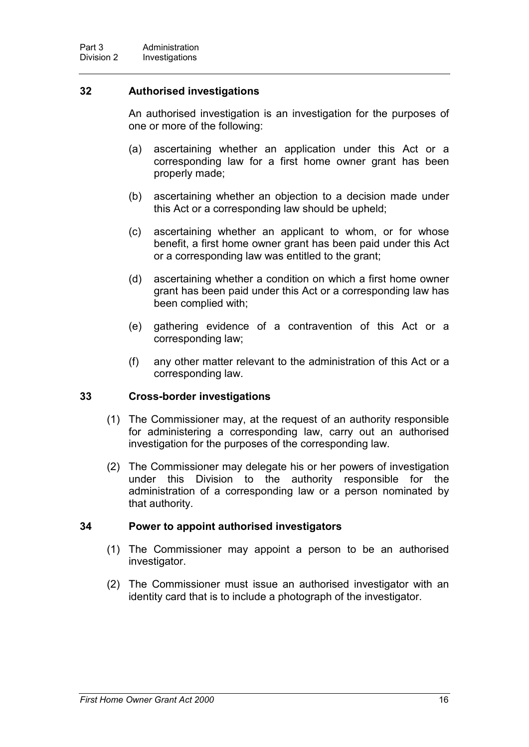## **32 Authorised investigations**

An authorised investigation is an investigation for the purposes of one or more of the following:

- (a) ascertaining whether an application under this Act or a corresponding law for a first home owner grant has been properly made;
- (b) ascertaining whether an objection to a decision made under this Act or a corresponding law should be upheld;
- (c) ascertaining whether an applicant to whom, or for whose benefit, a first home owner grant has been paid under this Act or a corresponding law was entitled to the grant;
- (d) ascertaining whether a condition on which a first home owner grant has been paid under this Act or a corresponding law has been complied with;
- (e) gathering evidence of a contravention of this Act or a corresponding law;
- (f) any other matter relevant to the administration of this Act or a corresponding law.

## **33 Cross-border investigations**

- (1) The Commissioner may, at the request of an authority responsible for administering a corresponding law, carry out an authorised investigation for the purposes of the corresponding law.
- (2) The Commissioner may delegate his or her powers of investigation under this Division to the authority responsible for the administration of a corresponding law or a person nominated by that authority.

## **34 Power to appoint authorised investigators**

- (1) The Commissioner may appoint a person to be an authorised investigator.
- (2) The Commissioner must issue an authorised investigator with an identity card that is to include a photograph of the investigator.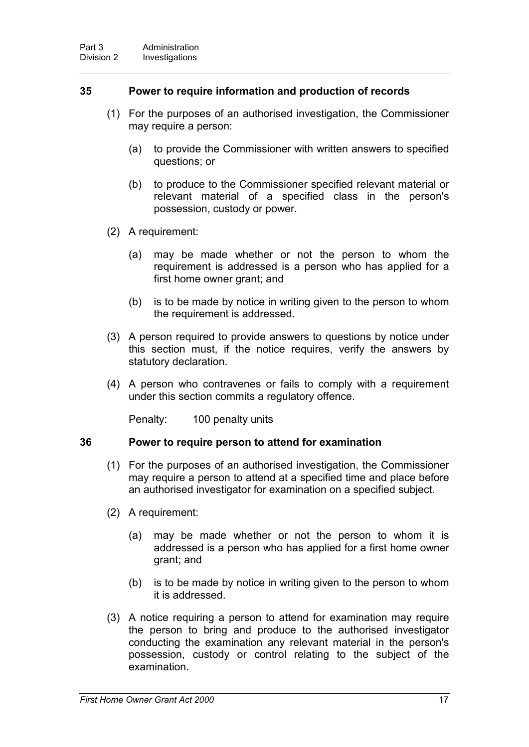## **35 Power to require information and production of records**

- (1) For the purposes of an authorised investigation, the Commissioner may require a person:
	- (a) to provide the Commissioner with written answers to specified questions; or
	- (b) to produce to the Commissioner specified relevant material or relevant material of a specified class in the person's possession, custody or power.
- (2) A requirement:
	- (a) may be made whether or not the person to whom the requirement is addressed is a person who has applied for a first home owner grant; and
	- (b) is to be made by notice in writing given to the person to whom the requirement is addressed.
- (3) A person required to provide answers to questions by notice under this section must, if the notice requires, verify the answers by statutory declaration.
- (4) A person who contravenes or fails to comply with a requirement under this section commits a regulatory offence.

Penalty: 100 penalty units

#### **36 Power to require person to attend for examination**

- (1) For the purposes of an authorised investigation, the Commissioner may require a person to attend at a specified time and place before an authorised investigator for examination on a specified subject.
- (2) A requirement:
	- (a) may be made whether or not the person to whom it is addressed is a person who has applied for a first home owner grant; and
	- (b) is to be made by notice in writing given to the person to whom it is addressed.
- (3) A notice requiring a person to attend for examination may require the person to bring and produce to the authorised investigator conducting the examination any relevant material in the person's possession, custody or control relating to the subject of the examination.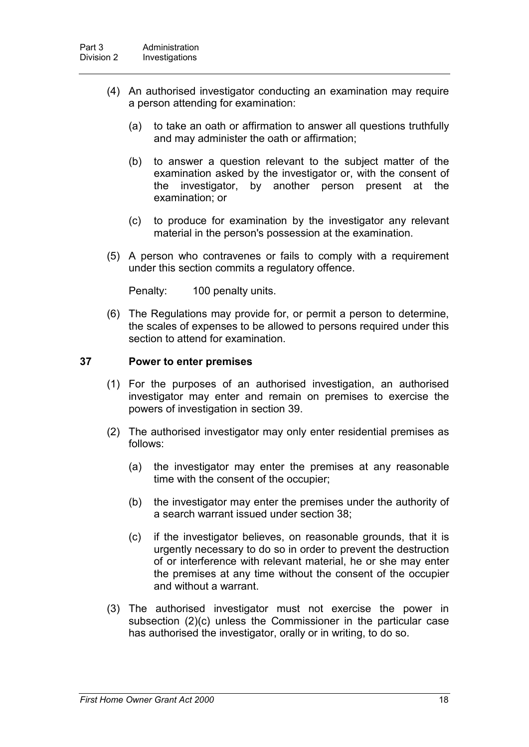- (4) An authorised investigator conducting an examination may require a person attending for examination:
	- (a) to take an oath or affirmation to answer all questions truthfully and may administer the oath or affirmation;
	- (b) to answer a question relevant to the subject matter of the examination asked by the investigator or, with the consent of the investigator, by another person present at the examination; or
	- (c) to produce for examination by the investigator any relevant material in the person's possession at the examination.
- (5) A person who contravenes or fails to comply with a requirement under this section commits a regulatory offence.

Penalty: 100 penalty units.

(6) The Regulations may provide for, or permit a person to determine, the scales of expenses to be allowed to persons required under this section to attend for examination.

#### **37 Power to enter premises**

- (1) For the purposes of an authorised investigation, an authorised investigator may enter and remain on premises to exercise the powers of investigation in section 39.
- (2) The authorised investigator may only enter residential premises as follows:
	- (a) the investigator may enter the premises at any reasonable time with the consent of the occupier;
	- (b) the investigator may enter the premises under the authority of a search warrant issued under section 38;
	- (c) if the investigator believes, on reasonable grounds, that it is urgently necessary to do so in order to prevent the destruction of or interference with relevant material, he or she may enter the premises at any time without the consent of the occupier and without a warrant.
- (3) The authorised investigator must not exercise the power in subsection (2)(c) unless the Commissioner in the particular case has authorised the investigator, orally or in writing, to do so.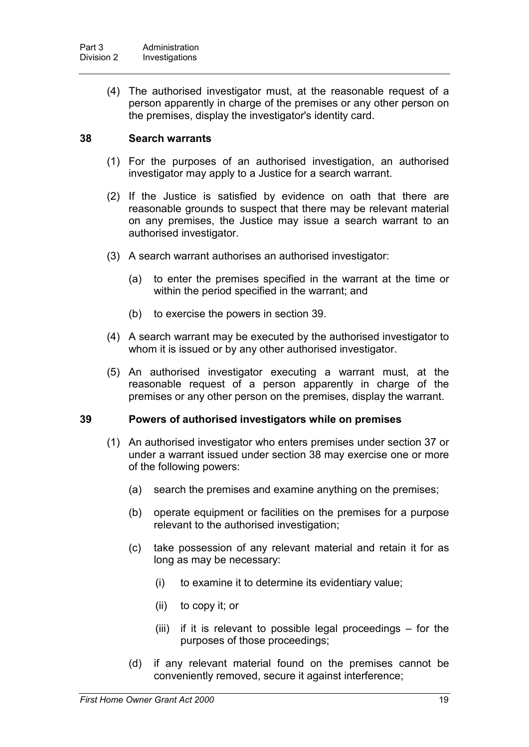(4) The authorised investigator must, at the reasonable request of a person apparently in charge of the premises or any other person on the premises, display the investigator's identity card.

## **38 Search warrants**

- (1) For the purposes of an authorised investigation, an authorised investigator may apply to a Justice for a search warrant.
- (2) If the Justice is satisfied by evidence on oath that there are reasonable grounds to suspect that there may be relevant material on any premises, the Justice may issue a search warrant to an authorised investigator.
- (3) A search warrant authorises an authorised investigator:
	- (a) to enter the premises specified in the warrant at the time or within the period specified in the warrant; and
	- (b) to exercise the powers in section 39.
- (4) A search warrant may be executed by the authorised investigator to whom it is issued or by any other authorised investigator.
- (5) An authorised investigator executing a warrant must, at the reasonable request of a person apparently in charge of the premises or any other person on the premises, display the warrant.

## **39 Powers of authorised investigators while on premises**

- (1) An authorised investigator who enters premises under section 37 or under a warrant issued under section 38 may exercise one or more of the following powers:
	- (a) search the premises and examine anything on the premises;
	- (b) operate equipment or facilities on the premises for a purpose relevant to the authorised investigation;
	- (c) take possession of any relevant material and retain it for as long as may be necessary:
		- (i) to examine it to determine its evidentiary value;
		- (ii) to copy it; or
		- (iii) if it is relevant to possible legal proceedings for the purposes of those proceedings;
	- (d) if any relevant material found on the premises cannot be conveniently removed, secure it against interference;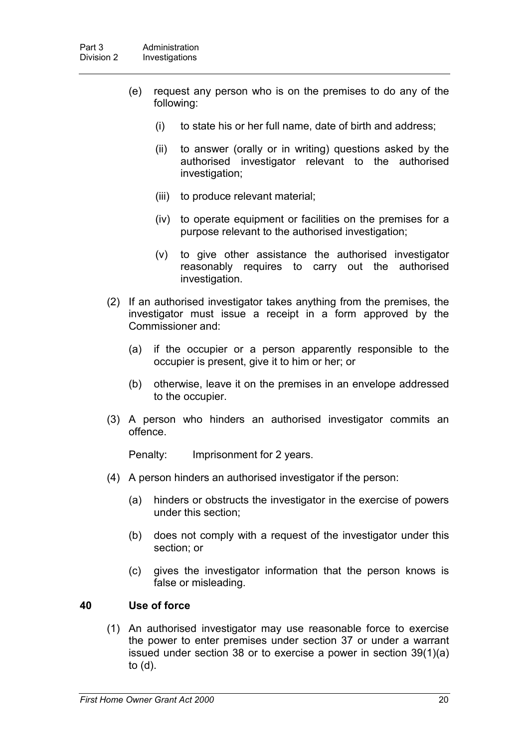- (e) request any person who is on the premises to do any of the following:
	- (i) to state his or her full name, date of birth and address;
	- (ii) to answer (orally or in writing) questions asked by the authorised investigator relevant to the authorised investigation;
	- (iii) to produce relevant material;
	- (iv) to operate equipment or facilities on the premises for a purpose relevant to the authorised investigation;
	- (v) to give other assistance the authorised investigator reasonably requires to carry out the authorised investigation.
- (2) If an authorised investigator takes anything from the premises, the investigator must issue a receipt in a form approved by the Commissioner and:
	- (a) if the occupier or a person apparently responsible to the occupier is present, give it to him or her; or
	- (b) otherwise, leave it on the premises in an envelope addressed to the occupier.
- (3) A person who hinders an authorised investigator commits an offence.

Penalty: Imprisonment for 2 years.

- (4) A person hinders an authorised investigator if the person:
	- (a) hinders or obstructs the investigator in the exercise of powers under this section;
	- (b) does not comply with a request of the investigator under this section; or
	- (c) gives the investigator information that the person knows is false or misleading.

#### **40 Use of force**

(1) An authorised investigator may use reasonable force to exercise the power to enter premises under section 37 or under a warrant issued under section 38 or to exercise a power in section 39(1)(a) to (d).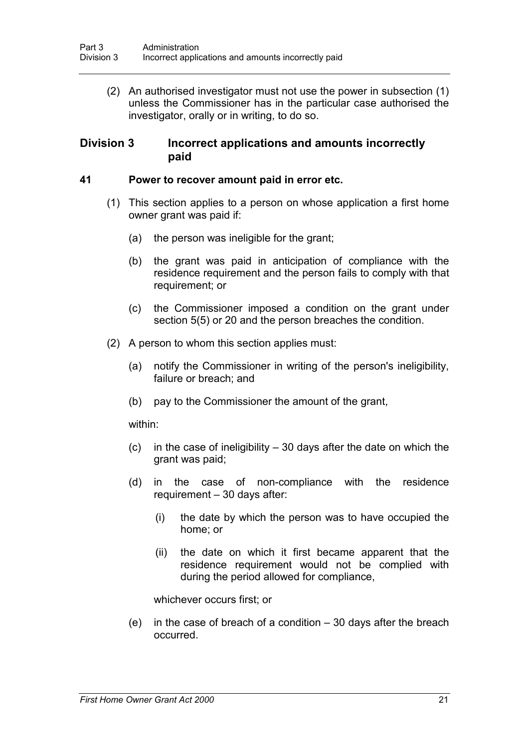(2) An authorised investigator must not use the power in subsection (1) unless the Commissioner has in the particular case authorised the investigator, orally or in writing, to do so.

## **Division 3 Incorrect applications and amounts incorrectly paid**

### **41 Power to recover amount paid in error etc.**

- (1) This section applies to a person on whose application a first home owner grant was paid if:
	- (a) the person was ineligible for the grant;
	- (b) the grant was paid in anticipation of compliance with the residence requirement and the person fails to comply with that requirement; or
	- (c) the Commissioner imposed a condition on the grant under section 5(5) or 20 and the person breaches the condition.
- (2) A person to whom this section applies must:
	- (a) notify the Commissioner in writing of the person's ineligibility, failure or breach; and
	- (b) pay to the Commissioner the amount of the grant,

within:

- (c) in the case of ineligibility 30 days after the date on which the grant was paid;
- (d) in the case of non-compliance with the residence requirement – 30 days after:
	- (i) the date by which the person was to have occupied the home; or
	- (ii) the date on which it first became apparent that the residence requirement would not be complied with during the period allowed for compliance,

whichever occurs first; or

(e) in the case of breach of a condition – 30 days after the breach occurred.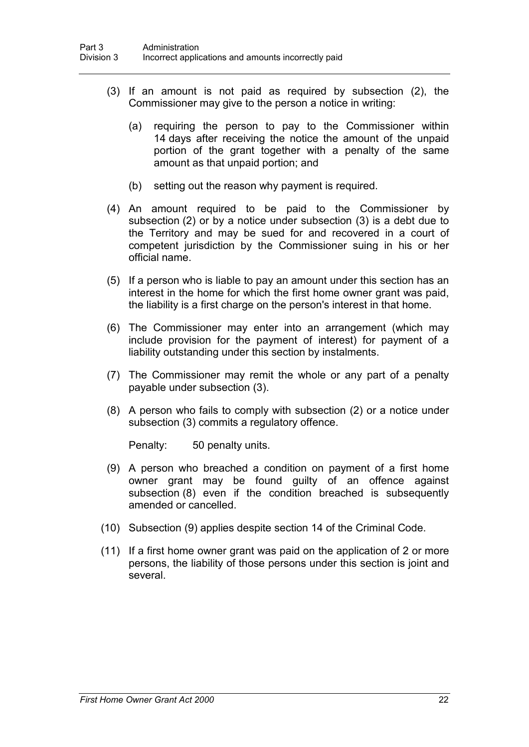- (3) If an amount is not paid as required by subsection (2), the Commissioner may give to the person a notice in writing:
	- (a) requiring the person to pay to the Commissioner within 14 days after receiving the notice the amount of the unpaid portion of the grant together with a penalty of the same amount as that unpaid portion; and
	- (b) setting out the reason why payment is required.
- (4) An amount required to be paid to the Commissioner by subsection (2) or by a notice under subsection (3) is a debt due to the Territory and may be sued for and recovered in a court of competent jurisdiction by the Commissioner suing in his or her official name.
- (5) If a person who is liable to pay an amount under this section has an interest in the home for which the first home owner grant was paid, the liability is a first charge on the person's interest in that home.
- (6) The Commissioner may enter into an arrangement (which may include provision for the payment of interest) for payment of a liability outstanding under this section by instalments.
- (7) The Commissioner may remit the whole or any part of a penalty payable under subsection (3).
- (8) A person who fails to comply with subsection (2) or a notice under subsection (3) commits a regulatory offence.

Penalty: 50 penalty units.

- (9) A person who breached a condition on payment of a first home owner grant may be found guilty of an offence against subsection (8) even if the condition breached is subsequently amended or cancelled.
- (10) Subsection (9) applies despite section 14 of the Criminal Code.
- (11) If a first home owner grant was paid on the application of 2 or more persons, the liability of those persons under this section is joint and several.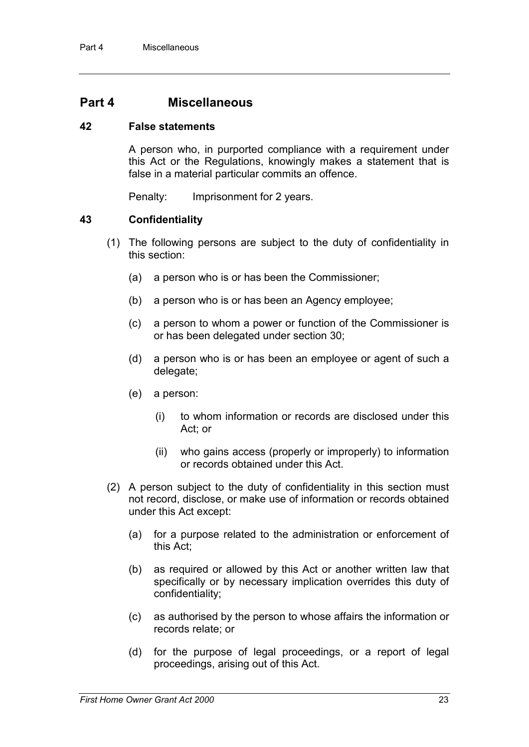## **Part 4 Miscellaneous**

## **42 False statements**

A person who, in purported compliance with a requirement under this Act or the Regulations, knowingly makes a statement that is false in a material particular commits an offence.

Penalty: Imprisonment for 2 years.

## **43 Confidentiality**

- (1) The following persons are subject to the duty of confidentiality in this section:
	- (a) a person who is or has been the Commissioner;
	- (b) a person who is or has been an Agency employee;
	- (c) a person to whom a power or function of the Commissioner is or has been delegated under section 30;
	- (d) a person who is or has been an employee or agent of such a delegate;
	- (e) a person:
		- (i) to whom information or records are disclosed under this Act; or
		- (ii) who gains access (properly or improperly) to information or records obtained under this Act.
- (2) A person subject to the duty of confidentiality in this section must not record, disclose, or make use of information or records obtained under this Act except:
	- (a) for a purpose related to the administration or enforcement of this Act;
	- (b) as required or allowed by this Act or another written law that specifically or by necessary implication overrides this duty of confidentiality;
	- (c) as authorised by the person to whose affairs the information or records relate; or
	- (d) for the purpose of legal proceedings, or a report of legal proceedings, arising out of this Act.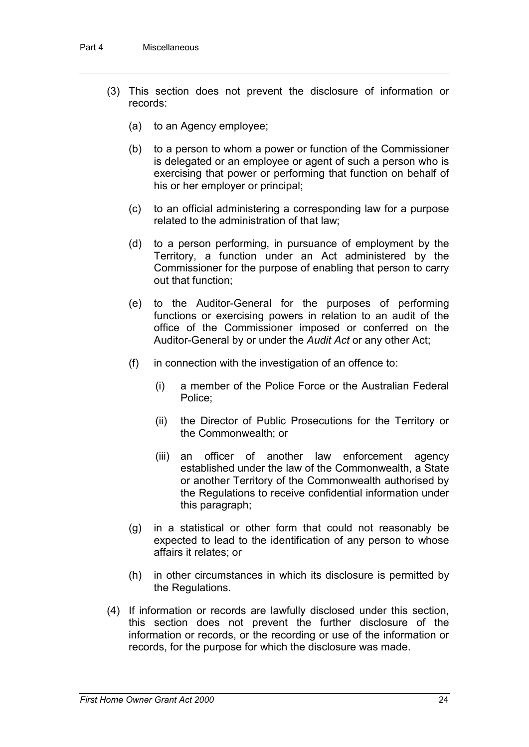- (3) This section does not prevent the disclosure of information or records:
	- (a) to an Agency employee;
	- (b) to a person to whom a power or function of the Commissioner is delegated or an employee or agent of such a person who is exercising that power or performing that function on behalf of his or her employer or principal;
	- (c) to an official administering a corresponding law for a purpose related to the administration of that law;
	- (d) to a person performing, in pursuance of employment by the Territory, a function under an Act administered by the Commissioner for the purpose of enabling that person to carry out that function;
	- (e) to the Auditor-General for the purposes of performing functions or exercising powers in relation to an audit of the office of the Commissioner imposed or conferred on the Auditor-General by or under the *Audit Act* or any other Act;
	- (f) in connection with the investigation of an offence to:
		- (i) a member of the Police Force or the Australian Federal Police;
		- (ii) the Director of Public Prosecutions for the Territory or the Commonwealth; or
		- (iii) an officer of another law enforcement agency established under the law of the Commonwealth, a State or another Territory of the Commonwealth authorised by the Regulations to receive confidential information under this paragraph;
	- (g) in a statistical or other form that could not reasonably be expected to lead to the identification of any person to whose affairs it relates; or
	- (h) in other circumstances in which its disclosure is permitted by the Regulations.
- (4) If information or records are lawfully disclosed under this section, this section does not prevent the further disclosure of the information or records, or the recording or use of the information or records, for the purpose for which the disclosure was made.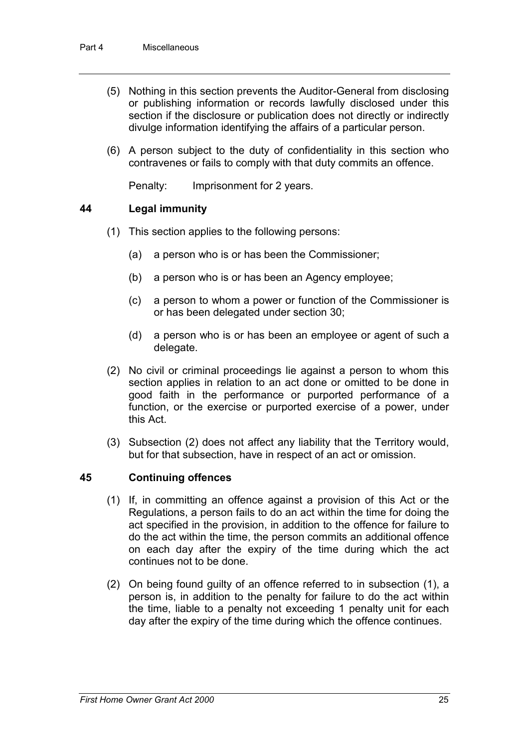- (5) Nothing in this section prevents the Auditor-General from disclosing or publishing information or records lawfully disclosed under this section if the disclosure or publication does not directly or indirectly divulge information identifying the affairs of a particular person.
- (6) A person subject to the duty of confidentiality in this section who contravenes or fails to comply with that duty commits an offence.

Penalty: Imprisonment for 2 years.

## **44 Legal immunity**

- (1) This section applies to the following persons:
	- (a) a person who is or has been the Commissioner;
	- (b) a person who is or has been an Agency employee;
	- (c) a person to whom a power or function of the Commissioner is or has been delegated under section 30;
	- (d) a person who is or has been an employee or agent of such a delegate.
- (2) No civil or criminal proceedings lie against a person to whom this section applies in relation to an act done or omitted to be done in good faith in the performance or purported performance of a function, or the exercise or purported exercise of a power, under this Act.
- (3) Subsection (2) does not affect any liability that the Territory would, but for that subsection, have in respect of an act or omission.

## **45 Continuing offences**

- (1) If, in committing an offence against a provision of this Act or the Regulations, a person fails to do an act within the time for doing the act specified in the provision, in addition to the offence for failure to do the act within the time, the person commits an additional offence on each day after the expiry of the time during which the act continues not to be done.
- (2) On being found guilty of an offence referred to in subsection (1), a person is, in addition to the penalty for failure to do the act within the time, liable to a penalty not exceeding 1 penalty unit for each day after the expiry of the time during which the offence continues.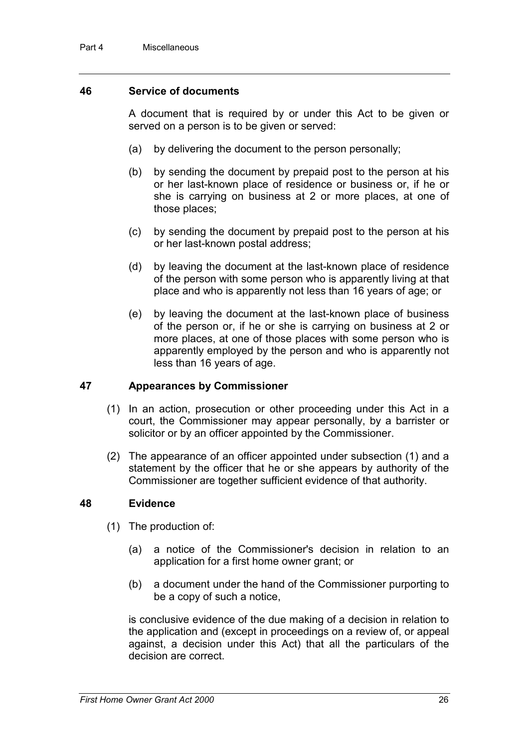### **46 Service of documents**

A document that is required by or under this Act to be given or served on a person is to be given or served:

- (a) by delivering the document to the person personally;
- (b) by sending the document by prepaid post to the person at his or her last-known place of residence or business or, if he or she is carrying on business at 2 or more places, at one of those places;
- (c) by sending the document by prepaid post to the person at his or her last-known postal address;
- (d) by leaving the document at the last-known place of residence of the person with some person who is apparently living at that place and who is apparently not less than 16 years of age; or
- (e) by leaving the document at the last-known place of business of the person or, if he or she is carrying on business at 2 or more places, at one of those places with some person who is apparently employed by the person and who is apparently not less than 16 years of age.

## **47 Appearances by Commissioner**

- (1) In an action, prosecution or other proceeding under this Act in a court, the Commissioner may appear personally, by a barrister or solicitor or by an officer appointed by the Commissioner.
- (2) The appearance of an officer appointed under subsection (1) and a statement by the officer that he or she appears by authority of the Commissioner are together sufficient evidence of that authority.

#### **48 Evidence**

- (1) The production of:
	- (a) a notice of the Commissioner's decision in relation to an application for a first home owner grant; or
	- (b) a document under the hand of the Commissioner purporting to be a copy of such a notice,

is conclusive evidence of the due making of a decision in relation to the application and (except in proceedings on a review of, or appeal against, a decision under this Act) that all the particulars of the decision are correct.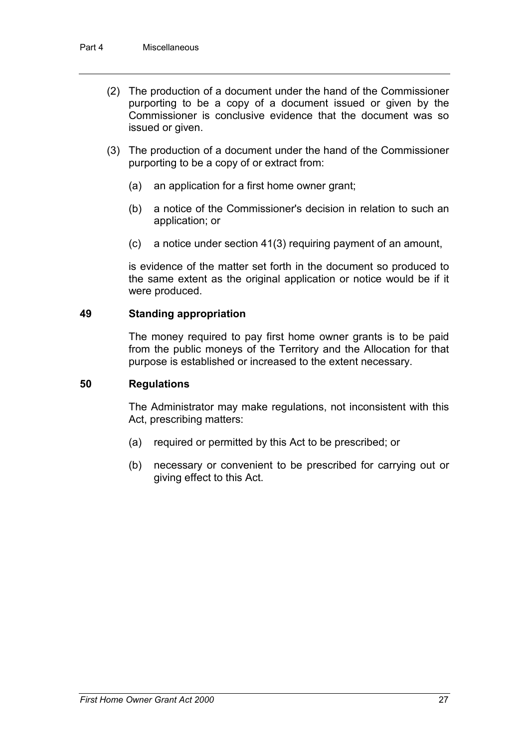- (2) The production of a document under the hand of the Commissioner purporting to be a copy of a document issued or given by the Commissioner is conclusive evidence that the document was so issued or given.
- (3) The production of a document under the hand of the Commissioner purporting to be a copy of or extract from:
	- (a) an application for a first home owner grant;
	- (b) a notice of the Commissioner's decision in relation to such an application; or
	- (c) a notice under section 41(3) requiring payment of an amount,

is evidence of the matter set forth in the document so produced to the same extent as the original application or notice would be if it were produced.

#### **49 Standing appropriation**

The money required to pay first home owner grants is to be paid from the public moneys of the Territory and the Allocation for that purpose is established or increased to the extent necessary.

#### **50 Regulations**

The Administrator may make regulations, not inconsistent with this Act, prescribing matters:

- (a) required or permitted by this Act to be prescribed; or
- (b) necessary or convenient to be prescribed for carrying out or giving effect to this Act.